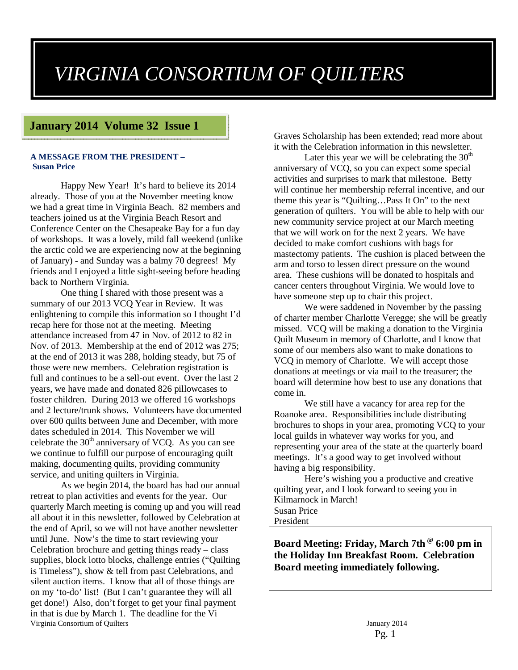# *VIRGINIA CONSORTIUM OF QUILTERS*

#### **January 2014 Volume 32 Issue 1**

#### **A MESSAGE FROM THE PRESIDENT – Susan Price**

Happy New Year! It's hard to believe its 2014 already. Those of you at the November meeting know we had a great time in Virginia Beach. 82 members and teachers joined us at the Virginia Beach Resort and Conference Center on the Chesapeake Bay for a fun day of workshops. It was a lovely, mild fall weekend (unlike the arctic cold we are experiencing now at the beginning of January) - and Sunday was a balmy 70 degrees! My friends and I enjoyed a little sight-seeing before heading back to Northern Virginia.

One thing I shared with those present was a summary of our 2013 VCQ Year in Review. It was enlightening to compile this information so I thought I'd recap here for those not at the meeting. Meeting attendance increased from 47 in Nov. of 2012 to 82 in Nov. of 2013. Membership at the end of 2012 was 275; at the end of 2013 it was 288, holding steady, but 75 of those were new members. Celebration registration is full and continues to be a sell-out event. Over the last 2 years, we have made and donated 826 pillowcases to foster children. During 2013 we offered 16 workshops and 2 lecture/trunk shows. Volunteers have documented over 600 quilts between June and December, with more dates scheduled in 2014. This November we will celebrate the  $30<sup>th</sup>$  anniversary of VCQ. As you can see we continue to fulfill our purpose of encouraging quilt making, documenting quilts, providing community service, and uniting quilters in Virginia.

Virginia Consortium of Quilters January 2014 As we begin 2014, the board has had our annual retreat to plan activities and events for the year. Our quarterly March meeting is coming up and you will read all about it in this newsletter, followed by Celebration at the end of April, so we will not have another newsletter until June. Now's the time to start reviewing your Celebration brochure and getting things ready – class supplies, block lotto blocks, challenge entries ("Quilting is Timeless"), show & tell from past Celebrations, and silent auction items. I know that all of those things are on my 'to-do' list! (But I can't guarantee they will all get done!) Also, don't forget to get your final payment in that is due by March 1. The deadline for the Vi

Graves Scholarship has been extended; read more about it with the Celebration information in this newsletter.

Later this year we will be celebrating the  $30<sup>th</sup>$ anniversary of VCQ, so you can expect some special activities and surprises to mark that milestone. Betty will continue her membership referral incentive, and our theme this year is "Quilting…Pass It On" to the next generation of quilters. You will be able to help with our new community service project at our March meeting that we will work on for the next 2 years. We have decided to make comfort cushions with bags for mastectomy patients. The cushion is placed between the arm and torso to lessen direct pressure on the wound area. These cushions will be donated to hospitals and cancer centers throughout Virginia. We would love to have someone step up to chair this project.

 We were saddened in November by the passing of charter member Charlotte Veregge; she will be greatly missed. VCQ will be making a donation to the Virginia Quilt Museum in memory of Charlotte, and I know that some of our members also want to make donations to VCQ in memory of Charlotte. We will accept those donations at meetings or via mail to the treasurer; the board will determine how best to use any donations that come in.

We still have a vacancy for area rep for the Roanoke area. Responsibilities include distributing brochures to shops in your area, promoting VCQ to your local guilds in whatever way works for you, and representing your area of the state at the quarterly board meetings. It's a good way to get involved without having a big responsibility.

Here's wishing you a productive and creative quilting year, and I look forward to seeing you in Kilmarnock in March! Susan Price President

**Board Meeting: Friday, March 7th @ 6:00 pm in the Holiday Inn Breakfast Room. Celebration Board meeting immediately following.**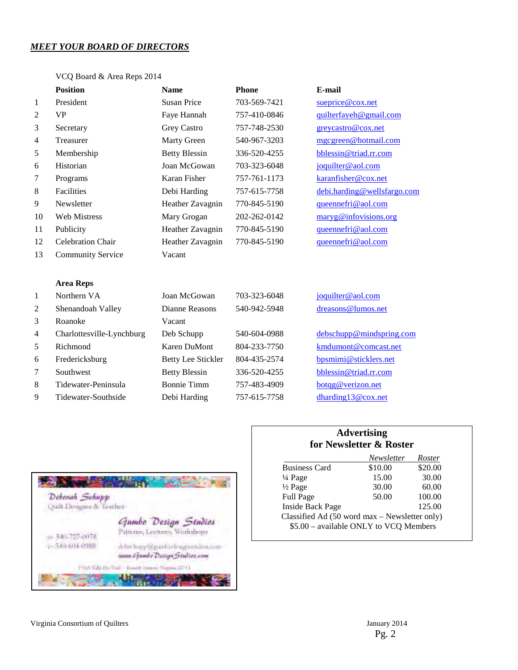#### *MEET YOUR BOARD OF DIRECTORS*

|                | <b>Position</b>           | <b>Name</b>               | <b>Phone</b> | E-mail                      |
|----------------|---------------------------|---------------------------|--------------|-----------------------------|
| 1              | President                 | <b>Susan Price</b>        | 703-569-7421 | sueprice@cox.net            |
| $\mathfrak{2}$ | <b>VP</b>                 | Faye Hannah               | 757-410-0846 | quilterfayeh@gmail.com      |
| 3              | Secretary                 | Grey Castro               | 757-748-2530 | greycastro@cox.net          |
| 4              | Treasurer                 | Marty Green               | 540-967-3203 | mgcgreen@hotmail.com        |
| 5              | Membership                | <b>Betty Blessin</b>      | 336-520-4255 | bblessin@triad.rr.com       |
| 6              | Historian                 | Joan McGowan              | 703-323-6048 | joquilter@aol.com           |
| $\tau$         | Programs                  | <b>Karan Fisher</b>       | 757-761-1173 | karanfisher@cox.net         |
| 8              | Facilities                | Debi Harding              | 757-615-7758 | debi.harding@wellsfargo.com |
| 9              | Newsletter                | Heather Zavagnin          | 770-845-5190 | queennefri@aol.com          |
| 10             | <b>Web Mistress</b>       | Mary Grogan               | 202-262-0142 | maryg@infovisions.org       |
| 11             | Publicity                 | Heather Zavagnin          | 770-845-5190 | queennefri@aol.com          |
| 12             | <b>Celebration Chair</b>  | Heather Zavagnin          | 770-845-5190 | queennefri@aol.com          |
| 13             | <b>Community Service</b>  | Vacant                    |              |                             |
|                |                           |                           |              |                             |
|                | <b>Area Reps</b>          |                           |              |                             |
| 1              | Northern VA               | Joan McGowan              | 703-323-6048 | joquilter@aol.com           |
| $\mathfrak{2}$ | Shenandoah Valley         | Dianne Reasons            | 540-942-5948 | dreasons@lumos.net          |
| 3              | Roanoke                   | Vacant                    |              |                             |
| 4              | Charlottesville-Lynchburg | Deb Schupp                | 540-604-0988 | debschupp@mindspring.com    |
| 5              | Richmond                  | <b>Karen DuMont</b>       | 804-233-7750 | kmdumont@comcast.net        |
| 6              | Fredericksburg            | <b>Betty Lee Stickler</b> | 804-435-2574 | bpsmimi@sticklers.net       |
| 7              | Southwest                 | <b>Betty Blessin</b>      | 336-520-4255 | bblessin@triad.rr.com       |
| 8              | Tidewater-Peninsula       | <b>Bonnie Timm</b>        | 757-483-4909 | botqg@verizon.net           |
| 9              | Tidewater-Southside       | Debi Harding              | 757-615-7758 | dharding $13@cov.net$       |



#### **Advertising for Newsletter & Roster**

| Newsletter                             | Roster                                        |  |
|----------------------------------------|-----------------------------------------------|--|
| \$10.00                                | \$20.00                                       |  |
| 15.00                                  | 30.00                                         |  |
| 30.00                                  | 60.00                                         |  |
| 50.00                                  | 100.00                                        |  |
|                                        | 125.00                                        |  |
|                                        |                                               |  |
| \$5.00 - available ONLY to VCQ Members |                                               |  |
|                                        | Classified Ad (50 word max - Newsletter only) |  |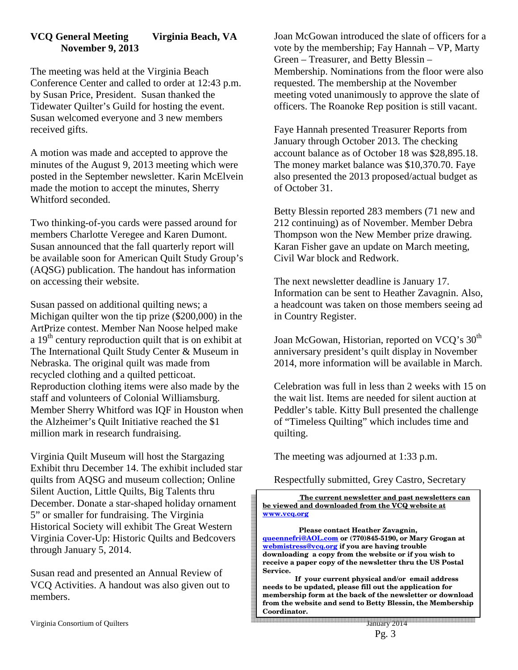#### **VCQ General Meeting Virginia Beach, VA November 9, 2013**

The meeting was held at the Virginia Beach Conference Center and called to order at 12:43 p.m. by Susan Price, President. Susan thanked the Tidewater Quilter's Guild for hosting the event. Susan welcomed everyone and 3 new members received gifts.

A motion was made and accepted to approve the minutes of the August 9, 2013 meeting which were posted in the September newsletter. Karin McElvein made the motion to accept the minutes, Sherry Whitford seconded.

Two thinking-of-you cards were passed around for members Charlotte Veregee and Karen Dumont. Susan announced that the fall quarterly report will be available soon for American Quilt Study Group's (AQSG) publication. The handout has information on accessing their website.

Susan passed on additional quilting news; a Michigan quilter won the tip prize (\$200,000) in the ArtPrize contest. Member Nan Noose helped make a  $19<sup>th</sup>$  century reproduction quilt that is on exhibit at The International Quilt Study Center & Museum in Nebraska. The original quilt was made from recycled clothing and a quilted petticoat. Reproduction clothing items were also made by the staff and volunteers of Colonial Williamsburg. Member Sherry Whitford was IQF in Houston when the Alzheimer's Quilt Initiative reached the \$1 million mark in research fundraising.

Virginia Quilt Museum will host the Stargazing Exhibit thru December 14. The exhibit included star quilts from AQSG and museum collection; Online Silent Auction, Little Quilts, Big Talents thru December. Donate a star-shaped holiday ornament 5" or smaller for fundraising. The Virginia Historical Society will exhibit The Great Western Virginia Cover-Up: Historic Quilts and Bedcovers through January 5, 2014.

Susan read and presented an Annual Review of VCQ Activities. A handout was also given out to members.

Joan McGowan introduced the slate of officers for a vote by the membership; Fay Hannah – VP, Marty Green – Treasurer, and Betty Blessin – Membership. Nominations from the floor were also requested. The membership at the November meeting voted unanimously to approve the slate of officers. The Roanoke Rep position is still vacant.

Faye Hannah presented Treasurer Reports from January through October 2013. The checking account balance as of October 18 was \$28,895.18. The money market balance was \$10,370.70. Faye also presented the 2013 proposed/actual budget as of October 31.

Betty Blessin reported 283 members (71 new and 212 continuing) as of November. Member Debra Thompson won the New Member prize drawing. Karan Fisher gave an update on March meeting, Civil War block and Redwork.

The next newsletter deadline is January 17. Information can be sent to Heather Zavagnin. Also, a headcount was taken on those members seeing ad in Country Register.

Joan McGowan, Historian, reported on VCQ's 30<sup>th</sup> anniversary president's quilt display in November 2014, more information will be available in March.

Celebration was full in less than 2 weeks with 15 on the wait list. Items are needed for silent auction at Peddler's table. Kitty Bull presented the challenge of "Timeless Quilting" which includes time and quilting.

The meeting was adjourned at 1:33 p.m.

Respectfully submitted, Grey Castro, Secretary

 **The current newsletter and past newsletters can be viewed and downloaded from the VCQ website at www.vcq.org**

 **Please contact Heather Zavagnin, queennefri@AOL.com or (770)845-5190, or Mary Grogan at webmistress@vcq.org if you are having trouble downloading a copy from the website or if you wish to receive a paper copy of the newsletter thru the US Postal Service.** 

 **If your current physical and/or email address needs to be updated, please fill out the application for membership form at the back of the newsletter or download from the website and send to Betty Blessin, the Membership Coordinator.**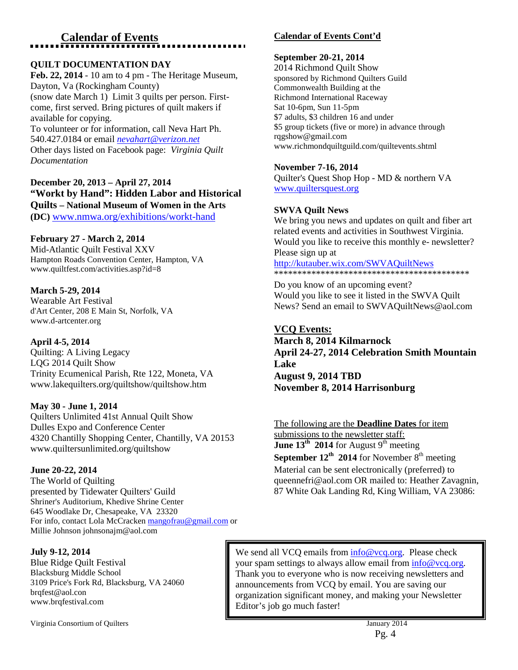# **Calendar of Events**

#### **QUILT DOCUMENTATION DAY**

**Feb. 22, 2014** - 10 am to 4 pm - The Heritage Museum, Dayton, Va (Rockingham County) (snow date March 1) Limit 3 quilts per person. Firstcome, first served. Bring pictures of quilt makers if available for copying. To volunteer or for information, call Neva Hart Ph. 540.427.0184 or email *nevahart@verizon.net* Other days listed on Facebook page: *Virginia Quilt Documentation* 

**December 20, 2013 – April 27, 2014 "Workt by Hand": Hidden Labor and Historical Quilts – National Museum of Women in the Arts (DC)** www.nmwa.org/exhibitions/workt-hand

#### **February 27 - March 2, 2014**

Mid-Atlantic Quilt Festival XXV Hampton Roads Convention Center, Hampton, VA www.quiltfest.com/activities.asp?id=8

#### **March 5-29, 2014**

Wearable Art Festival d'Art Center, 208 E Main St, Norfolk, VA www.d-artcenter.org

#### **April 4-5, 2014**

Quilting: A Living Legacy LQG 2014 Quilt Show Trinity Ecumenical Parish, Rte 122, Moneta, VA www.lakequilters.org/quiltshow/quiltshow.htm

#### **May 30 - June 1, 2014**

Quilters Unlimited 41st Annual Quilt Show Dulles Expo and Conference Center 4320 Chantilly Shopping Center, Chantilly, VA 20153 www.quiltersunlimited.org/quiltshow

#### **June 20-22, 2014**

The World of Quilting presented by Tidewater Quilters' Guild Shriner's Auditorium, Khedive Shrine Center 645 Woodlake Dr, Chesapeake, VA 23320 For info, contact Lola McCracken mangofrau@gmail.com or Millie Johnson johnsonajm@aol.com

#### **July 9-12, 2014**

Blue Ridge Quilt Festival Blacksburg Middle School 3109 Price's Fork Rd, Blacksburg, VA 24060 brqfest@aol.con www.brqfestival.com

Virginia Consortium of Quilters January 2014

#### **Calendar of Events Cont'd**

#### **September 20-21, 2014**

2014 Richmond Quilt Show sponsored by Richmond Quilters Guild Commonwealth Building at the Richmond International Raceway Sat 10-6pm, Sun 11-5pm \$7 adults, \$3 children 16 and under \$5 group tickets (five or more) in advance through rqgshow@gmail.com www.richmondquiltguild.com/quiltevents.shtml

#### **November 7-16, 2014**

Quilter's Quest Shop Hop - MD & northern VA www.quiltersquest.org

#### **SWVA Quilt News**

We bring you news and updates on quilt and fiber art related events and activities in Southwest Virginia. Would you like to receive this monthly e- newsletter? Please sign up at

http://kutauber.wix.com/SWVAQuiltNews

\*\*\*\*\*\*\*\*\*\*\*\*\*\*\*\*\*\*\*\*\*\*\*\*\*\*\*\*\*\*\*\*\*\*\*\*\*\*\*\*\*\*

Do you know of an upcoming event? Would you like to see it listed in the SWVA Quilt News? Send an email to SWVAQuiltNews@aol.com

#### **VCQ Events:**

**March 8, 2014 Kilmarnock April 24-27, 2014 Celebration Smith Mountain Lake August 9, 2014 TBD November 8, 2014 Harrisonburg** 

The following are the **Deadline Dates** for item submissions to the newsletter staff: **June 13<sup>th</sup>** 2014 for August 9<sup>th</sup> meeting **September 12<sup>th</sup> 2014** for November  $8<sup>th</sup>$  meeting Material can be sent electronically (preferred) to queennefri@aol.com OR mailed to: Heather Zavagnin, 87 White Oak Landing Rd, King William, VA 23086:

We send all VCQ emails from info@vcq.org. Please check your spam settings to always allow email from  $info@vcq.org$ . Thank you to everyone who is now receiving newsletters and announcements from VCQ by email. You are saving our organization significant money, and making your Newsletter Editor's job go much faster!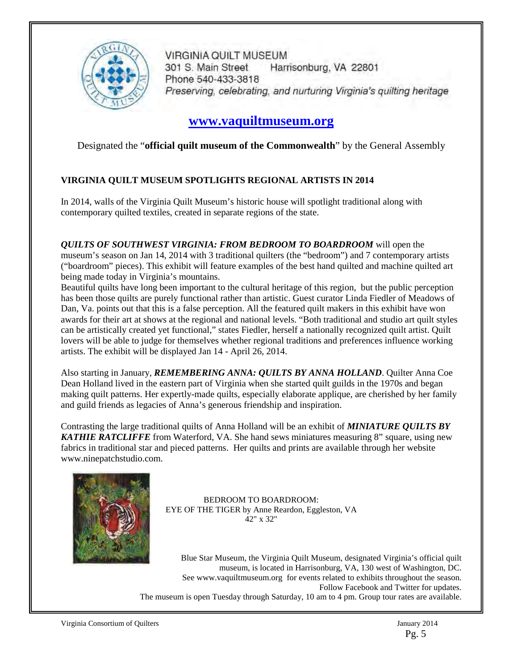

**VIRGINIA QUILT MUSEUM** 301 S. Main Street Harrisonburg, VA 22801 Phone 540-433-3818 Preserving, celebrating, and nurturing Virginia's quilting heritage

### **www.vaquiltmuseum.org**

Designated the "**official quilt museum of the Commonwealth**" by the General Assembly

#### **VIRGINIA QUILT MUSEUM SPOTLIGHTS REGIONAL ARTISTS IN 2014**

In 2014, walls of the Virginia Quilt Museum's historic house will spotlight traditional along with contemporary quilted textiles, created in separate regions of the state.

*QUILTS OF SOUTHWEST VIRGINIA: FROM BEDROOM TO BOARDROOM* will open the museum's season on Jan 14, 2014 with 3 traditional quilters (the "bedroom") and 7 contemporary artists ("boardroom" pieces). This exhibit will feature examples of the best hand quilted and machine quilted art being made today in Virginia's mountains.

Beautiful quilts have long been important to the cultural heritage of this region, but the public perception has been those quilts are purely functional rather than artistic. Guest curator Linda Fiedler of Meadows of Dan, Va. points out that this is a false perception. All the featured quilt makers in this exhibit have won awards for their art at shows at the regional and national levels. "Both traditional and studio art quilt styles can be artistically created yet functional," states Fiedler, herself a nationally recognized quilt artist. Quilt lovers will be able to judge for themselves whether regional traditions and preferences influence working artists. The exhibit will be displayed Jan 14 - April 26, 2014.

Also starting in January, *REMEMBERING ANNA: QUILTS BY ANNA HOLLAND*. Quilter Anna Coe Dean Holland lived in the eastern part of Virginia when she started quilt guilds in the 1970s and began making quilt patterns. Her expertly-made quilts, especially elaborate applique, are cherished by her family and guild friends as legacies of Anna's generous friendship and inspiration.

Contrasting the large traditional quilts of Anna Holland will be an exhibit of *MINIATURE QUILTS BY*  **KATHIE RATCLIFFE** from Waterford, VA. She hand sews miniatures measuring 8" square, using new fabrics in traditional star and pieced patterns. Her quilts and prints are available through her website www.ninepatchstudio.com.



BEDROOM TO BOARDROOM: EYE OF THE TIGER by Anne Reardon, Eggleston, VA 42" x 32"

Blue Star Museum, the Virginia Quilt Museum, designated Virginia's official quilt museum, is located in Harrisonburg, VA, 130 west of Washington, DC. See www.vaquiltmuseum.org for events related to exhibits throughout the season. Follow Facebook and Twitter for updates. The museum is open Tuesday through Saturday, 10 am to 4 pm. Group tour rates are available.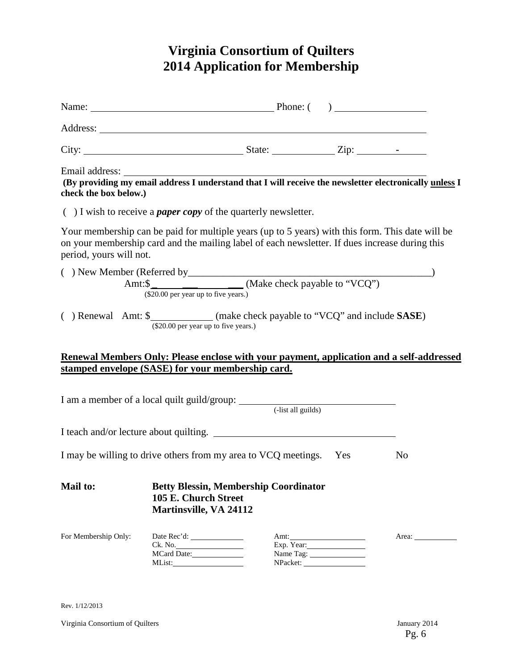# **Virginia Consortium of Quilters 2014 Application for Membership**

|                         | Name: <u>Name:</u> Phone: ( )                                                                                                                                                                      |            |                                                                                                                                                                                                        |
|-------------------------|----------------------------------------------------------------------------------------------------------------------------------------------------------------------------------------------------|------------|--------------------------------------------------------------------------------------------------------------------------------------------------------------------------------------------------------|
|                         |                                                                                                                                                                                                    |            |                                                                                                                                                                                                        |
|                         |                                                                                                                                                                                                    |            |                                                                                                                                                                                                        |
| check the box below.)   |                                                                                                                                                                                                    |            | Email address: The address of the set of the set of the set of the set of the set of the set of the providing my email address I understand that I will receive the newsletter electronically unless I |
|                         | $( )$ I wish to receive a <i>paper copy</i> of the quarterly newsletter.                                                                                                                           |            |                                                                                                                                                                                                        |
| period, yours will not. | Your membership can be paid for multiple years (up to 5 years) with this form. This date will be<br>on your membership card and the mailing label of each newsletter. If dues increase during this |            |                                                                                                                                                                                                        |
|                         | ( ) New Member (Referred by<br>Amt: $\frac{\text{Amt:}\$}{\text{($20.00 per year up to five years.)}}$ (Make check payable to "VCQ")                                                               |            |                                                                                                                                                                                                        |
|                         | () Renewal Amt: \$_____________(make check payable to "VCQ" and include SASE)<br>(\$20.00 per year up to five years.)                                                                              |            |                                                                                                                                                                                                        |
|                         |                                                                                                                                                                                                    |            | Renewal Members Only: Please enclose with your payment, application and a self-addressed                                                                                                               |
|                         | stamped envelope (SASE) for your membership card.                                                                                                                                                  |            |                                                                                                                                                                                                        |
|                         |                                                                                                                                                                                                    |            |                                                                                                                                                                                                        |
|                         | I teach and/or lecture about quilting.                                                                                                                                                             |            |                                                                                                                                                                                                        |
|                         | I may be willing to drive others from my area to VCQ meetings. Yes                                                                                                                                 |            | No                                                                                                                                                                                                     |
| <b>Mail to:</b>         | <b>Betty Blessin, Membership Coordinator</b><br>105 E. Church Street<br><b>Martinsville, VA 24112</b>                                                                                              |            |                                                                                                                                                                                                        |
| For Membership Only:    | Ck. No.                                                                                                                                                                                            | Exp. Year: | Area:                                                                                                                                                                                                  |

Rev. 1/12/2013

Virginia Consortium of Quilters January 2014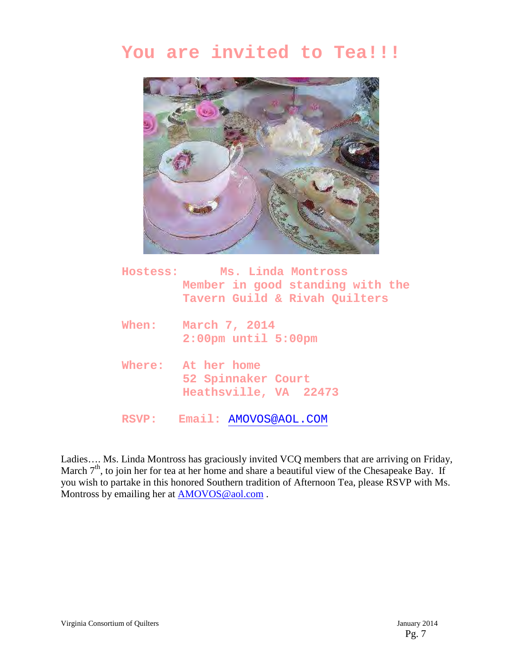# **You are invited to Tea!!!**



|       | Hostess: Ms. Linda Montross |                                            |                                  |  |
|-------|-----------------------------|--------------------------------------------|----------------------------------|--|
|       |                             |                                            | Member in good standing with the |  |
|       |                             |                                            | Tavern Guild & Rivah Quilters    |  |
| When: |                             | March 7, 2014<br>$2:00$ pm until $5:00$ pm |                                  |  |

- **Where: At her home 52 Spinnaker Court Heathsville, VA 22473**
- **RSVP: Email:** AMOVOS@AOL.COM

Ladies…. Ms. Linda Montross has graciously invited VCQ members that are arriving on Friday, March  $7<sup>th</sup>$ , to join her for tea at her home and share a beautiful view of the Chesapeake Bay. If you wish to partake in this honored Southern tradition of Afternoon Tea, please RSVP with Ms. Montross by emailing her at **AMOVOS** @aol.com.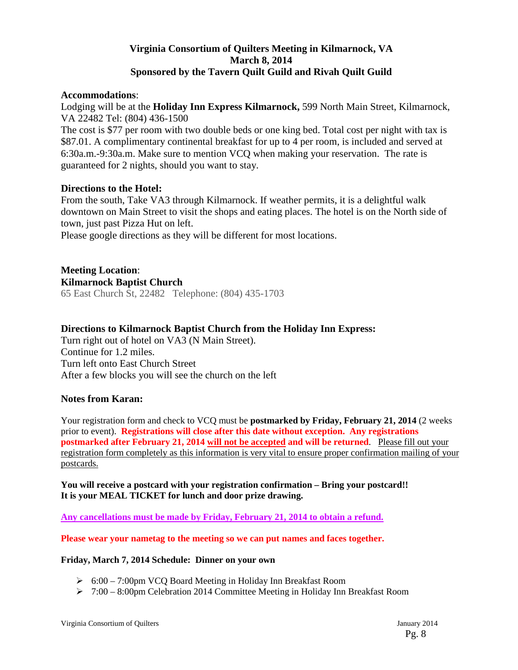#### **Virginia Consortium of Quilters Meeting in Kilmarnock, VA March 8, 2014 Sponsored by the Tavern Quilt Guild and Rivah Quilt Guild**

#### **Accommodations**:

Lodging will be at the **Holiday Inn Express Kilmarnock,** 599 North Main Street, Kilmarnock, VA 22482 Tel: (804) 436-1500

The cost is \$77 per room with two double beds or one king bed. Total cost per night with tax is \$87.01. A complimentary continental breakfast for up to 4 per room, is included and served at 6:30a.m.-9:30a.m. Make sure to mention VCQ when making your reservation. The rate is guaranteed for 2 nights, should you want to stay.

#### **Directions to the Hotel:**

From the south, Take VA3 through Kilmarnock. If weather permits, it is a delightful walk downtown on Main Street to visit the shops and eating places. The hotel is on the North side of town, just past Pizza Hut on left.

Please google directions as they will be different for most locations.

#### **Meeting Location**: **Kilmarnock Baptist Church**  65 East Church St, 22482 Telephone: (804) 435-1703

#### **Directions to Kilmarnock Baptist Church from the Holiday Inn Express:**

Turn right out of hotel on VA3 (N Main Street). Continue for 1.2 miles. Turn left onto East Church Street After a few blocks you will see the church on the left

#### **Notes from Karan:**

Your registration form and check to VCQ must be **postmarked by Friday, February 21, 2014** (2 weeks prior to event). **Registrations will close after this date without exception. Any registrations postmarked after February 21, 2014 will not be accepted and will be returned**. Please fill out your registration form completely as this information is very vital to ensure proper confirmation mailing of your postcards.

**You will receive a postcard with your registration confirmation – Bring your postcard!! It is your MEAL TICKET for lunch and door prize drawing.** 

**Any cancellations must be made by Friday, February 21, 2014 to obtain a refund.** 

**Please wear your nametag to the meeting so we can put names and faces together.** 

#### **Friday, March 7, 2014 Schedule: Dinner on your own**

- 6:00 7:00pm VCQ Board Meeting in Holiday Inn Breakfast Room
- $\triangleright$  7:00 8:00pm Celebration 2014 Committee Meeting in Holiday Inn Breakfast Room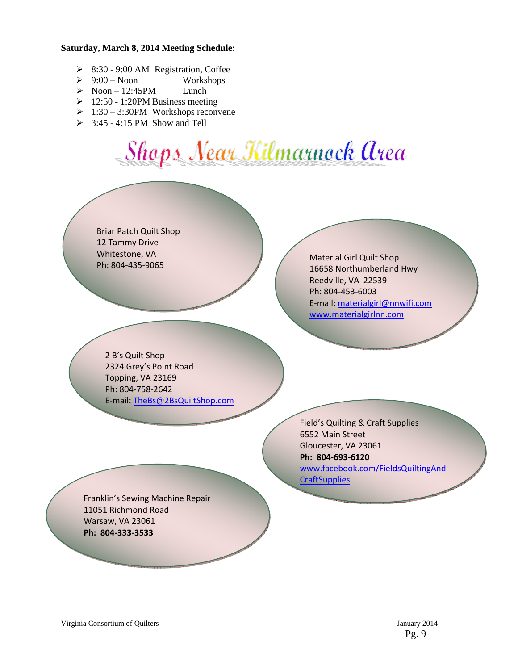#### **Saturday, March 8, 2014 Meeting Schedule:**

- $\geq$  8:30 9:00 AM Registration, Coffee<br> $\geq$  9:00 Noon Workshops
- $\geqslant 9:00 N$ oon
- $\triangleright$  Noon 12:45PM Lunch
- $\geq 12:50 1:20$ PM Business meeting
- $\geq 1:30 3:30$ PM Workshops reconvene
- $\geq$  3:45 4:15 PM Show and Tell

# Shops Near Kilmarnock Area

Briar Patch Quilt Shop 12 Tammy Drive Whitestone, VA Ph: 804-435-9065

Material Girl Quilt Shop 16658 Northumberland Hwy Reedville, VA 22539 Ph: 804-453-6003 E-mail: materialgirl@nnwifi.com www.materialgirlnn.com

2 B's Quilt Shop 2324 Grey's Point Road Topping, VA 23169 Ph: 804-758-2642 E-mail: TheBs@2BsQuiltShop.com

> Field's Quilting & Craft Supplies 6552 Main Street Gloucester, VA 23061 Ph: 804-693-6120 www.facebook.com/FieldsQuiltingAnd

**CraftSupplies** 

Franklin's Sewing Machine Repair 11051 Richmond Road Warsaw, VA 23061 Ph: 804-333-3533

www.2bsquiltshop.com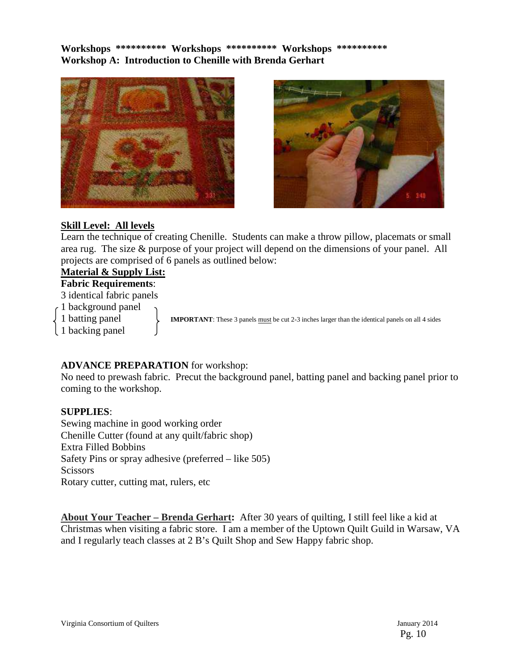**Workshops \*\*\*\*\*\*\*\*\*\* Workshops \*\*\*\*\*\*\*\*\*\* Workshops \*\*\*\*\*\*\*\*\*\* Workshop A: Introduction to Chenille with Brenda Gerhart** 





#### **Skill Level: All levels**

Learn the technique of creating Chenille. Students can make a throw pillow, placemats or small area rug. The size & purpose of your project will depend on the dimensions of your panel. All projects are comprised of 6 panels as outlined below:

## **Material & Supply List:**

**Fabric Requirements**:

3 identical fabric panels

1 background panel

1 backing panel

1 **batting panel IMPORTANT**: These 3 panels must be cut 2-3 inches larger than the identical panels on all 4 sides

#### **ADVANCE PREPARATION** for workshop:

No need to prewash fabric. Precut the background panel, batting panel and backing panel prior to coming to the workshop.

#### **SUPPLIES**:

Sewing machine in good working order Chenille Cutter (found at any quilt/fabric shop) Extra Filled Bobbins Safety Pins or spray adhesive (preferred – like 505) **Scissors** Rotary cutter, cutting mat, rulers, etc

**About Your Teacher – Brenda Gerhart:** After 30 years of quilting, I still feel like a kid at Christmas when visiting a fabric store. I am a member of the Uptown Quilt Guild in Warsaw, VA and I regularly teach classes at 2 B's Quilt Shop and Sew Happy fabric shop.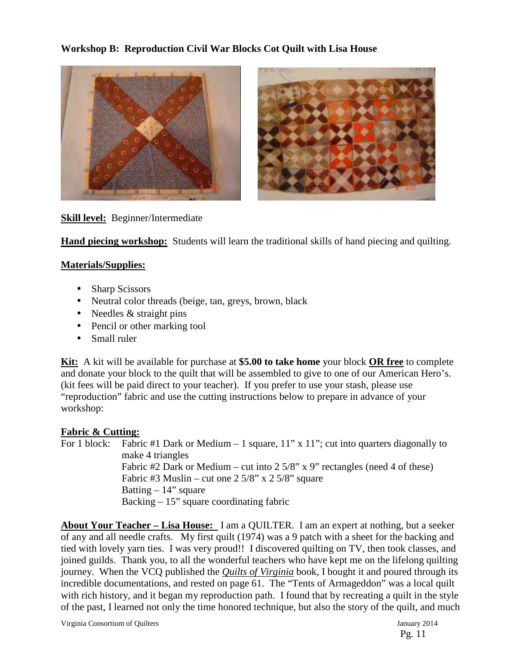#### **Workshop B: Reproduction Civil War Blocks Cot Quilt with Lisa House**





#### **Skill level:** Beginner/Intermediate

**Hand piecing workshop:** Students will learn the traditional skills of hand piecing and quilting.

#### **Materials/Supplies:**

- Sharp Scissors
- Neutral color threads (beige, tan, greys, brown, black
- Needles  $&$  straight pins
- Pencil or other marking tool
- Small ruler

**Kit:** A kit will be available for purchase at **\$5.00 to take home** your block **OR free** to complete and donate your block to the quilt that will be assembled to give to one of our American Hero's. (kit fees will be paid direct to your teacher). If you prefer to use your stash, please use "reproduction" fabric and use the cutting instructions below to prepare in advance of your workshop:

#### **Fabric & Cutting:**

For 1 block: Fabric #1 Dark or Medium  $-1$  square,  $11$ " x  $11$ "; cut into quarters diagonally to make 4 triangles Fabric #2 Dark or Medium – cut into 2 5/8" x 9" rectangles (need 4 of these) Fabric #3 Muslin – cut one  $2\frac{5}{8}$ " x  $2\frac{5}{8}$ " square Batting  $-14$ " square Backing  $-15$ " square coordinating fabric

**About Your Teacher – Lisa House:** I am a QUILTER. I am an expert at nothing, but a seeker of any and all needle crafts. My first quilt (1974) was a 9 patch with a sheet for the backing and tied with lovely yarn ties. I was very proud!! I discovered quilting on TV, then took classes, and joined guilds. Thank you, to all the wonderful teachers who have kept me on the lifelong quilting journey. When the VCQ published the *Quilts of Virginia* book, I bought it and poured through its incredible documentations, and rested on page 61. The "Tents of Armageddon" was a local quilt with rich history, and it began my reproduction path. I found that by recreating a quilt in the style of the past, I learned not only the time honored technique, but also the story of the quilt, and much

Virginia Consortium of Quilters January 2014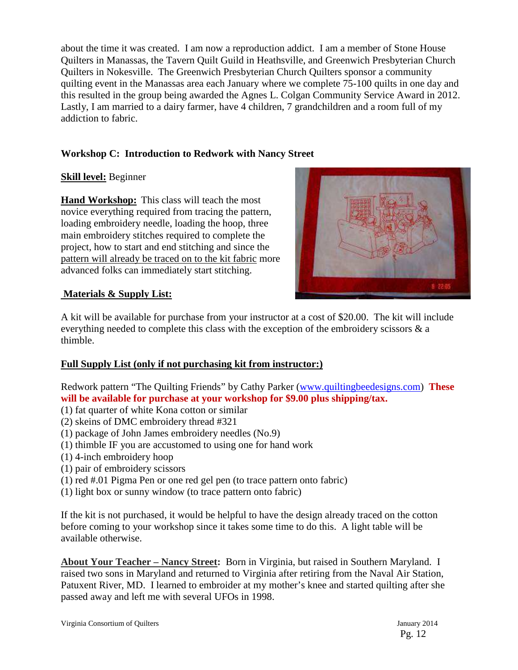about the time it was created. I am now a reproduction addict. I am a member of Stone House Quilters in Manassas, the Tavern Quilt Guild in Heathsville, and Greenwich Presbyterian Church Quilters in Nokesville. The Greenwich Presbyterian Church Quilters sponsor a community quilting event in the Manassas area each January where we complete 75-100 quilts in one day and this resulted in the group being awarded the Agnes L. Colgan Community Service Award in 2012. Lastly, I am married to a dairy farmer, have 4 children, 7 grandchildren and a room full of my addiction to fabric.

#### **Workshop C: Introduction to Redwork with Nancy Street**

#### **Skill level:** Beginner

**Hand Workshop:** This class will teach the most novice everything required from tracing the pattern, loading embroidery needle, loading the hoop, three main embroidery stitches required to complete the project, how to start and end stitching and since the pattern will already be traced on to the kit fabric more advanced folks can immediately start stitching.



#### **Materials & Supply List:**

A kit will be available for purchase from your instructor at a cost of \$20.00. The kit will include everything needed to complete this class with the exception of the embroidery scissors & a thimble.

#### **Full Supply List (only if not purchasing kit from instructor:)**

Redwork pattern "The Quilting Friends" by Cathy Parker (www.quiltingbeedesigns.com) **These will be available for purchase at your workshop for \$9.00 plus shipping/tax.**

- (1) fat quarter of white Kona cotton or similar
- (2) skeins of DMC embroidery thread #321
- (1) package of John James embroidery needles (No.9)
- (1) thimble IF you are accustomed to using one for hand work
- (1) 4-inch embroidery hoop
- (1) pair of embroidery scissors
- (1) red #.01 Pigma Pen or one red gel pen (to trace pattern onto fabric)
- (1) light box or sunny window (to trace pattern onto fabric)

If the kit is not purchased, it would be helpful to have the design already traced on the cotton before coming to your workshop since it takes some time to do this. A light table will be available otherwise.

**About Your Teacher – Nancy Street:** Born in Virginia, but raised in Southern Maryland. I raised two sons in Maryland and returned to Virginia after retiring from the Naval Air Station, Patuxent River, MD. I learned to embroider at my mother's knee and started quilting after she passed away and left me with several UFOs in 1998.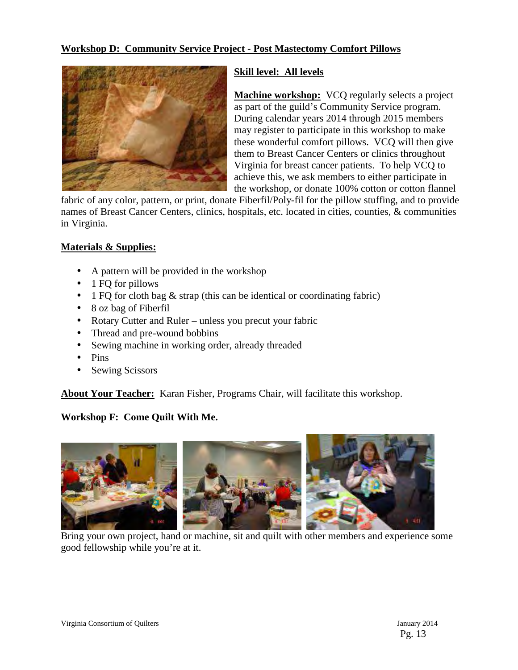#### **Workshop D: Community Service Project - Post Mastectomy Comfort Pillows**



#### **Skill level: All levels**

**Machine workshop:** VCQ regularly selects a project as part of the guild's Community Service program. During calendar years 2014 through 2015 members may register to participate in this workshop to make these wonderful comfort pillows. VCQ will then give them to Breast Cancer Centers or clinics throughout Virginia for breast cancer patients. To help VCQ to achieve this, we ask members to either participate in the workshop, or donate 100% cotton or cotton flannel

fabric of any color, pattern, or print, donate Fiberfil/Poly-fil for the pillow stuffing, and to provide names of Breast Cancer Centers, clinics, hospitals, etc. located in cities, counties, & communities in Virginia.

#### **Materials & Supplies:**

- A pattern will be provided in the workshop
- 1 FQ for pillows
- 1 FQ for cloth bag & strap (this can be identical or coordinating fabric)
- 8 oz bag of Fiberfil
- Rotary Cutter and Ruler unless you precut your fabric
- Thread and pre-wound bobbins
- Sewing machine in working order, already threaded
- Pins
- Sewing Scissors

**About Your Teacher:** Karan Fisher, Programs Chair, will facilitate this workshop.

#### **Workshop F: Come Quilt With Me.**



Bring your own project, hand or machine, sit and quilt with other members and experience some good fellowship while you're at it.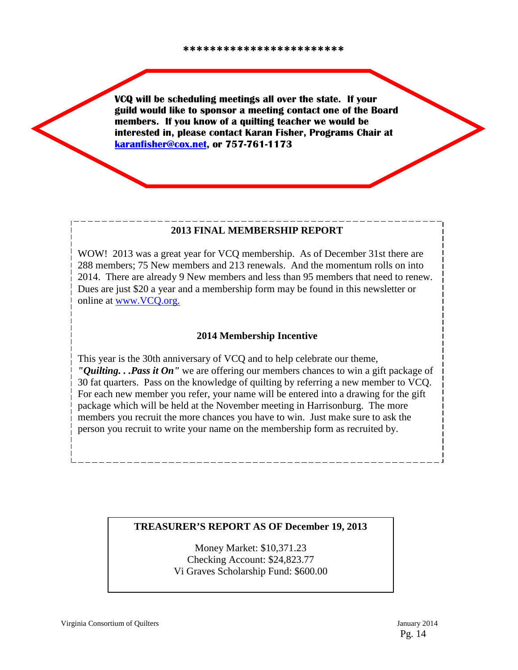VCQ will be scheduling meetings all over the state. If your guild would like to sponsor a meeting contact one of the Board members. If you know of a quilting teacher we would be interested in, please contact Karan Fisher, Programs Chair at karanfisher@cox.net, or 757-761-1173

#### **2013 FINAL MEMBERSHIP REPORT**

WOW! 2013 was a great year for VCO membership. As of December 31st there are 288 members; 75 New members and 213 renewals. And the momentum rolls on into 2014. There are already 9 New members and less than 95 members that need to renew. Dues are just \$20 a year and a membership form may be found in this newsletter or online at www.VCQ.org.

#### **2014 Membership Incentive**

This year is the 30th anniversary of VCQ and to help celebrate our theme, *"Quilting. . .Pass it On"* we are offering our members chances to win a gift package of 30 fat quarters. Pass on the knowledge of quilting by referring a new member to VCQ. For each new member you refer, your name will be entered into a drawing for the gift package which will be held at the November meeting in Harrisonburg. The more members you recruit the more chances you have to win. Just make sure to ask the person you recruit to write your name on the membership form as recruited by.

#### **TREASURER'S REPORT AS OF December 19, 2013**

Money Market: \$10,371.23 Checking Account: \$24,823.77 Vi Graves Scholarship Fund: \$600.00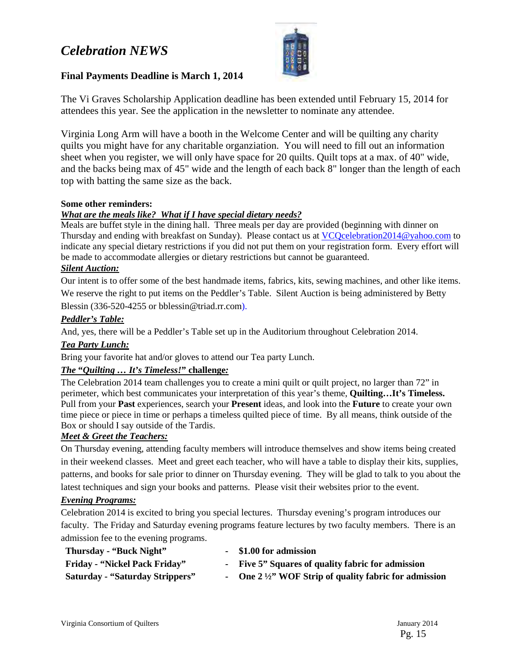## *Celebration NEWS*



#### **Final Payments Deadline is March 1, 2014**

The Vi Graves Scholarship Application deadline has been extended until February 15, 2014 for attendees this year. See the application in the newsletter to nominate any attendee.

Virginia Long Arm will have a booth in the Welcome Center and will be quilting any charity quilts you might have for any charitable organziation. You will need to fill out an information sheet when you register, we will only have space for 20 quilts. Quilt tops at a max. of 40" wide, and the backs being max of 45" wide and the length of each back 8" longer than the length of each top with batting the same size as the back.

#### **Some other reminders:**

#### *What are the meals like? What if I have special dietary needs?*

Meals are buffet style in the dining hall. Three meals per day are provided (beginning with dinner on Thursday and ending with breakfast on Sunday). Please contact us at VCQcelebration2014@yahoo.com to indicate any special dietary restrictions if you did not put them on your registration form. Every effort will be made to accommodate allergies or dietary restrictions but cannot be guaranteed.

#### *Silent Auction:*

Our intent is to offer some of the best handmade items, fabrics, kits, sewing machines, and other like items. We reserve the right to put items on the Peddler's Table. Silent Auction is being administered by Betty Blessin (336-520-4255 or bblessin@triad.rr.com).

#### *Peddler's Table:*

And, yes, there will be a Peddler's Table set up in the Auditorium throughout Celebration 2014.

#### *Tea Party Lunch:*

Bring your favorite hat and/or gloves to attend our Tea party Lunch.

#### *The* **"***Quilting … It's Timeless!***" challenge***:*

The Celebration 2014 team challenges you to create a mini quilt or quilt project, no larger than 72" in perimeter, which best communicates your interpretation of this year's theme, **Quilting…It's Timeless.** Pull from your **Past** experiences, search your **Present** ideas, and look into the **Future** to create your own time piece or piece in time or perhaps a timeless quilted piece of time. By all means, think outside of the Box or should I say outside of the Tardis.

#### *Meet & Greet the Teachers:*

On Thursday evening, attending faculty members will introduce themselves and show items being created in their weekend classes. Meet and greet each teacher, who will have a table to display their kits, supplies, patterns, and books for sale prior to dinner on Thursday evening. They will be glad to talk to you about the latest techniques and sign your books and patterns. Please visit their websites prior to the event.

#### *Evening Programs:*

Celebration 2014 is excited to bring you special lectures. Thursday evening's program introduces our faculty. The Friday and Saturday evening programs feature lectures by two faculty members. There is an admission fee to the evening programs.

| Thursday - "Buck Night"                | - \$1.00 for admission                                           |
|----------------------------------------|------------------------------------------------------------------|
| <b>Friday - "Nickel Pack Friday"</b>   | - Five 5" Squares of quality fabric for admission                |
| <b>Saturday - "Saturday Strippers"</b> | - One $2\frac{1}{2}$ . WOF Strip of quality fabric for admission |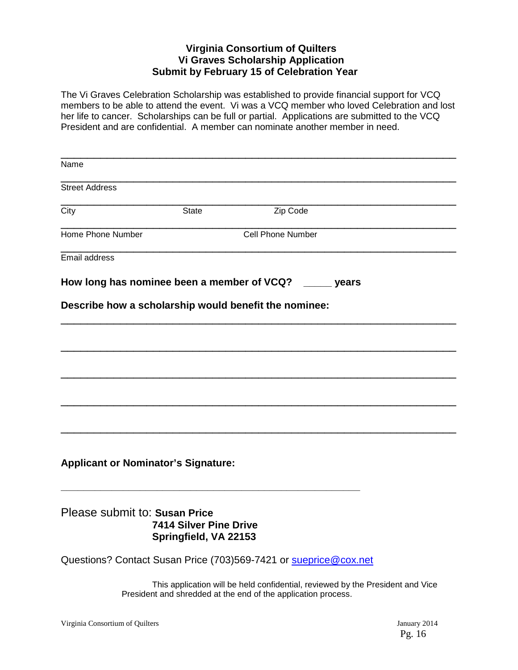#### **Virginia Consortium of Quilters Vi Graves Scholarship Application Submit by February 15 of Celebration Year**

The Vi Graves Celebration Scholarship was established to provide financial support for VCQ members to be able to attend the event. Vi was a VCQ member who loved Celebration and lost her life to cancer. Scholarships can be full or partial. Applications are submitted to the VCQ President and are confidential. A member can nominate another member in need.

| Name                                       |                                                 |                                                                                |
|--------------------------------------------|-------------------------------------------------|--------------------------------------------------------------------------------|
| <b>Street Address</b>                      |                                                 |                                                                                |
| City                                       | <b>State</b>                                    | Zip Code                                                                       |
| Home Phone Number                          |                                                 | <b>Cell Phone Number</b>                                                       |
| Email address                              |                                                 |                                                                                |
|                                            |                                                 | How long has nominee been a member of VCQ? _____ years                         |
|                                            |                                                 |                                                                                |
|                                            |                                                 | Describe how a scholarship would benefit the nominee:                          |
|                                            |                                                 |                                                                                |
|                                            |                                                 |                                                                                |
|                                            |                                                 |                                                                                |
|                                            |                                                 |                                                                                |
|                                            |                                                 |                                                                                |
|                                            |                                                 |                                                                                |
|                                            |                                                 |                                                                                |
|                                            |                                                 |                                                                                |
| <b>Applicant or Nominator's Signature:</b> |                                                 |                                                                                |
|                                            |                                                 |                                                                                |
|                                            |                                                 |                                                                                |
| Please submit to: Susan Price              |                                                 |                                                                                |
|                                            | 7414 Silver Pine Drive<br>Springfield, VA 22153 |                                                                                |
|                                            |                                                 |                                                                                |
|                                            |                                                 | Questions? Contact Susan Price (703)569-7421 or sueprice@cox.net               |
|                                            |                                                 | This application will be held confidential, reviewed by the President and Vice |
|                                            |                                                 | President and shredded at the end of the application process.                  |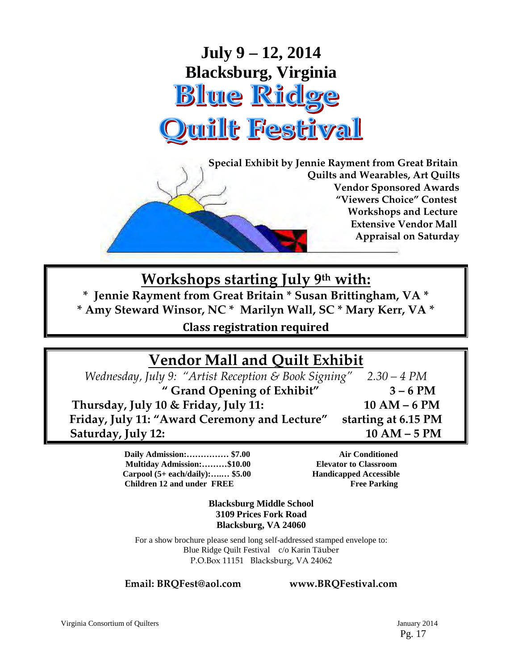

 **Special Exhibit by Jennie Rayment from Great Britain Quilts and Wearables, Art Quilts Vendor Sponsored Awards "Viewers Choice" Contest Workshops and Lecture Extensive Vendor Mall Appraisal on Saturday** 

## **Workshops starting July 9th with:**

**\* Jennie Rayment from Great Britain \* Susan Brittingham, VA \* \* Amy Steward Winsor, NC \* Marilyn Wall, SC \* Mary Kerr, VA \***  Class registration required

# **Vendor Mall and Quilt Exhibit**

*Wednesday, July 9: "Artist Reception & Book Signing" 2.30 – 4 PM*  **" Grand Opening of Exhibit" 3 – 6 PM Thursday, July 10 & Friday, July 11: 10 AM – 6 PM Friday, July 11: "Award Ceremony and Lecture" starting at 6.15 PM Saturday, July 12: 10 AM – 5 PM**

> **Daily Admission:…………… \$7.00 Air Conditioned Multiday Admission:………\$10.00 Elevator to Classroom**  Carpool (5+ each/daily):....... \$5.00 **Handicapped Accessible Children 12 and under FREE** Free Parking

**Blacksburg Middle School 3109 Prices Fork Road Blacksburg, VA 24060**

For a show brochure please send long self-addressed stamped envelope to: Blue Ridge Quilt Festival c/o Karin Täuber P.O.Box 11151 Blacksburg, VA 24062

**Email: BRQFest@aol.com www.BRQFestival.com**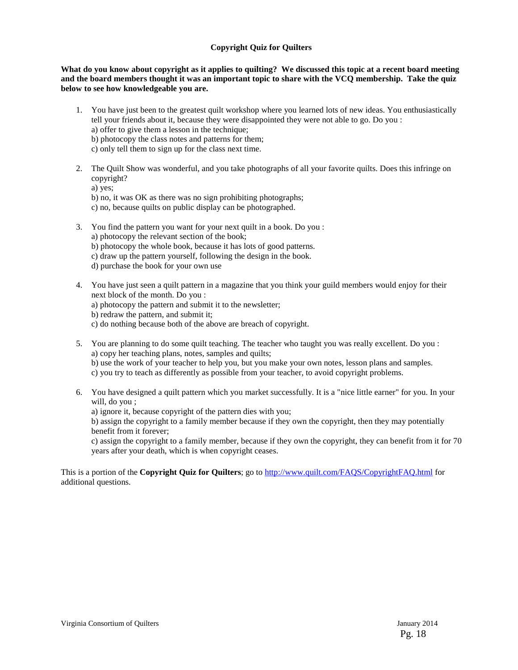#### **Copyright Quiz for Quilters**

**What do you know about copyright as it applies to quilting? We discussed this topic at a recent board meeting and the board members thought it was an important topic to share with the VCQ membership. Take the quiz below to see how knowledgeable you are.** 

- 1. You have just been to the greatest quilt workshop where you learned lots of new ideas. You enthusiastically tell your friends about it, because they were disappointed they were not able to go. Do you : a) offer to give them a lesson in the technique;
	- b) photocopy the class notes and patterns for them;
	- c) only tell them to sign up for the class next time.
- 2. The Quilt Show was wonderful, and you take photographs of all your favorite quilts. Does this infringe on copyright?
	- a) yes;

b) no, it was OK as there was no sign prohibiting photographs;

- c) no, because quilts on public display can be photographed.
- 3. You find the pattern you want for your next quilt in a book. Do you :
	- a) photocopy the relevant section of the book;
	- b) photocopy the whole book, because it has lots of good patterns.
	- c) draw up the pattern yourself, following the design in the book.
	- d) purchase the book for your own use
- 4. You have just seen a quilt pattern in a magazine that you think your guild members would enjoy for their next block of the month. Do you :
	- a) photocopy the pattern and submit it to the newsletter;
	- b) redraw the pattern, and submit it;
	- c) do nothing because both of the above are breach of copyright.
- 5. You are planning to do some quilt teaching. The teacher who taught you was really excellent. Do you : a) copy her teaching plans, notes, samples and quilts; b) use the work of your teacher to help you, but you make your own notes, lesson plans and samples. c) you try to teach as differently as possible from your teacher, to avoid copyright problems.
- 6. You have designed a quilt pattern which you market successfully. It is a "nice little earner" for you. In your will, do you ;
	- a) ignore it, because copyright of the pattern dies with you;

b) assign the copyright to a family member because if they own the copyright, then they may potentially benefit from it forever;

c) assign the copyright to a family member, because if they own the copyright, they can benefit from it for 70 years after your death, which is when copyright ceases.

This is a portion of the **Copyright Quiz for Quilters**; go to http://www.quilt.com/FAQS/CopyrightFAQ.html for additional questions.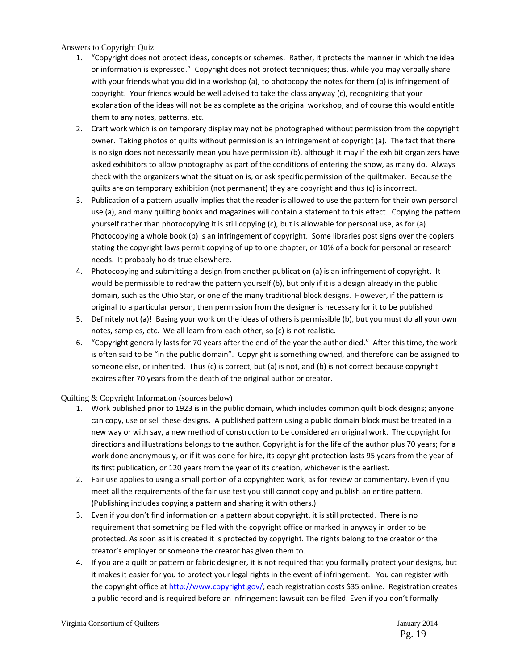Answers to Copyright Quiz

- 1. "Copyright does not protect ideas, concepts or schemes. Rather, it protects the manner in which the idea or information is expressed." Copyright does not protect techniques; thus, while you may verbally share with your friends what you did in a workshop (a), to photocopy the notes for them (b) is infringement of copyright. Your friends would be well advised to take the class anyway (c), recognizing that your explanation of the ideas will not be as complete as the original workshop, and of course this would entitle them to any notes, patterns, etc.
- 2. Craft work which is on temporary display may not be photographed without permission from the copyright owner. Taking photos of quilts without permission is an infringement of copyright (a). The fact that there is no sign does not necessarily mean you have permission (b), although it may if the exhibit organizers have asked exhibitors to allow photography as part of the conditions of entering the show, as many do. Always check with the organizers what the situation is, or ask specific permission of the quiltmaker. Because the quilts are on temporary exhibition (not permanent) they are copyright and thus (c) is incorrect.
- 3. Publication of a pattern usually implies that the reader is allowed to use the pattern for their own personal use (a), and many quilting books and magazines will contain a statement to this effect. Copying the pattern yourself rather than photocopying it is still copying (c), but is allowable for personal use, as for (a). Photocopying a whole book (b) is an infringement of copyright. Some libraries post signs over the copiers stating the copyright laws permit copying of up to one chapter, or 10% of a book for personal or research needs. It probably holds true elsewhere.
- 4. Photocopying and submitting a design from another publication (a) is an infringement of copyright. It would be permissible to redraw the pattern yourself (b), but only if it is a design already in the public domain, such as the Ohio Star, or one of the many traditional block designs. However, if the pattern is original to a particular person, then permission from the designer is necessary for it to be published.
- 5. Definitely not (a)! Basing your work on the ideas of others is permissible (b), but you must do all your own notes, samples, etc. We all learn from each other, so (c) is not realistic.
- 6. "Copyright generally lasts for 70 years after the end of the year the author died." After this time, the work is often said to be "in the public domain". Copyright is something owned, and therefore can be assigned to someone else, or inherited. Thus (c) is correct, but (a) is not, and (b) is not correct because copyright expires after 70 years from the death of the original author or creator.

Quilting & Copyright Information (sources below)

- 1. Work published prior to 1923 is in the public domain, which includes common quilt block designs; anyone can copy, use or sell these designs. A published pattern using a public domain block must be treated in a new way or with say, a new method of construction to be considered an original work. The copyright for directions and illustrations belongs to the author. Copyright is for the life of the author plus 70 years; for a work done anonymously, or if it was done for hire, its copyright protection lasts 95 years from the year of its first publication, or 120 years from the year of its creation, whichever is the earliest.
- 2. Fair use applies to using a small portion of a copyrighted work, as for review or commentary. Even if you meet all the requirements of the fair use test you still cannot copy and publish an entire pattern. (Publishing includes copying a pattern and sharing it with others.)
- 3. Even if you don't find information on a pattern about copyright, it is still protected. There is no requirement that something be filed with the copyright office or marked in anyway in order to be protected. As soon as it is created it is protected by copyright. The rights belong to the creator or the creator's employer or someone the creator has given them to.
- 4. If you are a quilt or pattern or fabric designer, it is not required that you formally protect your designs, but it makes it easier for you to protect your legal rights in the event of infringement. You can register with the copyright office at http://www.copyright.gov/; each registration costs \$35 online. Registration creates a public record and is required before an infringement lawsuit can be filed. Even if you don't formally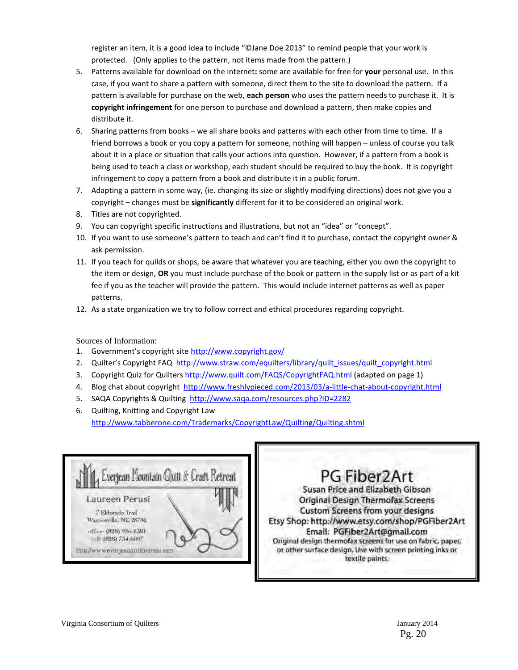register an item, it is a good idea to include "©Jane Doe 2013" to remind people that your work is protected. (Only applies to the pattern, not items made from the pattern.)

- 5. Patterns available for download on the internet: some are available for free for your personal use. In this case, if you want to share a pattern with someone, direct them to the site to download the pattern. If a pattern is available for purchase on the web, each person who uses the pattern needs to purchase it. It is copyright infringement for one person to purchase and download a pattern, then make copies and distribute it.
- 6. Sharing patterns from books we all share books and patterns with each other from time to time. If a friend borrows a book or you copy a pattern for someone, nothing will happen – unless of course you talk about it in a place or situation that calls your actions into question. However, if a pattern from a book is being used to teach a class or workshop, each student should be required to buy the book. It is copyright infringement to copy a pattern from a book and distribute it in a public forum.
- 7. Adapting a pattern in some way, (ie. changing its size or slightly modifying directions) does not give you a copyright - changes must be significantly different for it to be considered an original work.
- 8. Titles are not copyrighted.
- 9. You can copyright specific instructions and illustrations, but not an "idea" or "concept".
- 10. If you want to use someone's pattern to teach and can't find it to purchase, contact the copyright owner & ask permission.
- 11. If you teach for quilds or shops, be aware that whatever you are teaching, either you own the copyright to the item or design, OR you must include purchase of the book or pattern in the supply list or as part of a kit fee if you as the teacher will provide the pattern. This would include internet patterns as well as paper patterns.
- 12. As a state organization we try to follow correct and ethical procedures regarding copyright.

Sources of Information:

- 1. Government's copyright site http://www.copyright.gov/
- 2. Quilter's Copyright FAQ http://www.straw.com/equilters/library/quilt\_issues/quilt\_copyright.html
- 3. Copyright Quiz for Quilters http://www.quilt.com/FAQS/CopyrightFAQ.html (adapted on page 1)
- 4. Blog chat about copyright http://www.freshlypieced.com/2013/03/a-little-chat-about-copyright.html
- 5. SAQA Copyrights & Quilting http://www.saqa.com/resources.php?ID=2282
- 6. Quilting, Knitting and Copyright Law http://www.tabberone.com/Trademarks/CopyrightLaw/Quilting/Quilting.shtml



# PG Fiber2Art

Susan Price and Elizabeth Gibson **Original Design Thermofax Screens** Custom Screens from your designs Etsy Shop: http://www.etsy.com/shop/PGFiber2Art Email: PGFiber2Art@gmail.com Original design thermofax screens for use on fabric, paper, or other surface design. Use with screen printing inks or textile paints.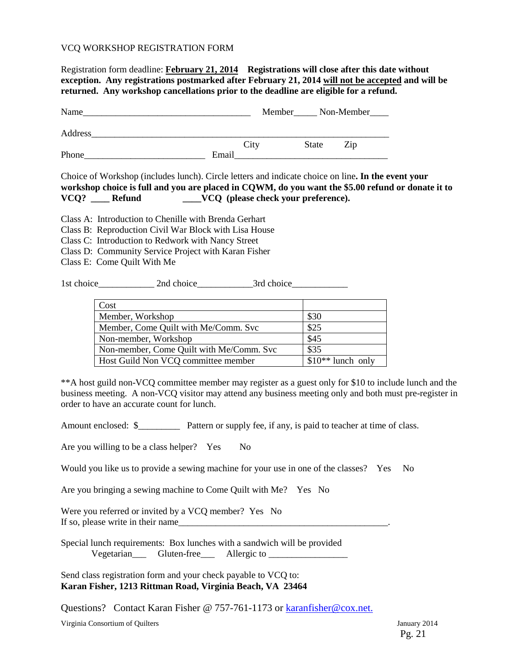#### VCQ WORKSHOP REGISTRATION FORM

Registration form deadline: **February 21, 2014 Registrations will close after this date without exception. Any registrations postmarked after February 21, 2014 will not be accepted and will be returned. Any workshop cancellations prior to the deadline are eligible for a refund.** Name\_\_\_\_\_\_\_\_\_\_\_\_\_\_\_\_\_\_\_\_\_\_\_\_\_\_\_\_\_\_\_\_\_\_\_\_ Member\_\_\_\_\_ Non-Member\_\_\_\_ Address City State Zip Phone **Email** Choice of Workshop (includes lunch). Circle letters and indicate choice on line**. In the event your workshop choice is full and you are placed in CQWM, do you want the \$5.00 refund or donate it to VCQ? \_\_\_\_ Refund \_\_\_\_VCQ (please check your preference).**  Class A: Introduction to Chenille with Brenda Gerhart Class B: Reproduction Civil War Block with Lisa House Class C: Introduction to Redwork with Nancy Street Class D: Community Service Project with Karan Fisher Class E: Come Quilt With Me 1st choice\_\_\_\_\_\_\_\_\_\_\_\_ 2nd choice\_\_\_\_\_\_\_\_\_\_\_\_3rd choice\_\_\_\_\_\_\_\_\_\_\_\_ Cost Member, Workshop  $\vert$  \$30 Member, Come Quilt with Me/Comm. Svc \$25 Non-member, Workshop  $\begin{array}{c} \text{[}345 \text{]} \end{array}$ Non-member, Come Quilt with Me/Comm. Svc \\$35 Host Guild Non VCQ committee member  $\frac{1}{10^{**}}$  lunch only \*\*A host guild non-VCQ committee member may register as a guest only for \$10 to include lunch and the business meeting. A non-VCQ visitor may attend any business meeting only and both must pre-register in order to have an accurate count for lunch. Amount enclosed:  $\$\$  Pattern or supply fee, if any, is paid to teacher at time of class. Are you willing to be a class helper? Yes No Would you like us to provide a sewing machine for your use in one of the classes? Yes No Are you bringing a sewing machine to Come Quilt with Me? Yes No Were you referred or invited by a VCO member? Yes No If so, please write in their name Special lunch requirements: Box lunches with a sandwich will be provided Vegetarian\_\_\_ Gluten-free\_\_\_ Allergic to \_\_\_\_\_\_\_\_\_\_\_\_\_\_\_\_\_

Send class registration form and your check payable to VCQ to: **Karan Fisher, 1213 Rittman Road, Virginia Beach, VA 23464** 

Questions? Contact Karan Fisher @ 757-761-1173 or karanfisher@cox.net.